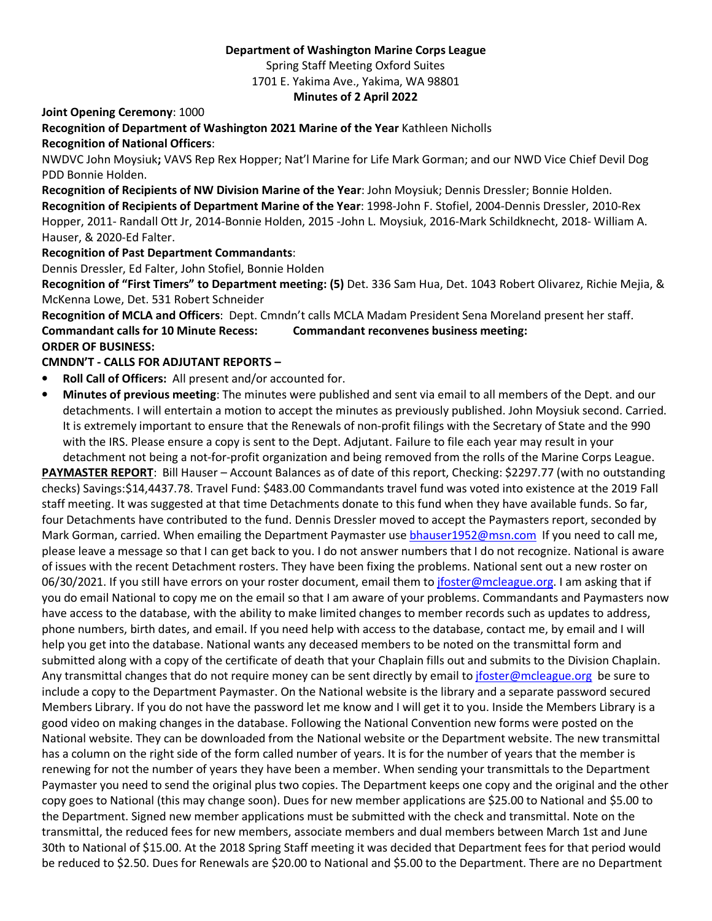#### **Department of Washington Marine Corps League**

Spring Staff Meeting Oxford Suites

1701 E. Yakima Ave., Yakima, WA 98801

**Minutes of 2 April 2022** 

**Joint Opening Ceremony**: 1000

**Recognition of Department of Washington 2021 Marine of the Year** Kathleen Nicholls **Recognition of National Officers**:

NWDVC John Moysiuk**;** VAVS Rep Rex Hopper; Nat'l Marine for Life Mark Gorman; and our NWD Vice Chief Devil Dog PDD Bonnie Holden.

**Recognition of Recipients of NW Division Marine of the Year**: John Moysiuk; Dennis Dressler; Bonnie Holden. **Recognition of Recipients of Department Marine of the Year**: 1998-John F. Stofiel, 2004-Dennis Dressler, 2010-Rex Hopper, 2011- Randall Ott Jr, 2014-Bonnie Holden, 2015 -John L. Moysiuk, 2016-Mark Schildknecht, 2018- William A. Hauser, & 2020-Ed Falter.

**Recognition of Past Department Commandants**:

Dennis Dressler, Ed Falter, John Stofiel, Bonnie Holden

**Recognition of "First Timers" to Department meeting: (5)** Det. 336 Sam Hua, Det. 1043 Robert Olivarez, Richie Mejia, & McKenna Lowe, Det. 531 Robert Schneider

**Recognition of MCLA and Officers**: Dept. Cmndn't calls MCLA Madam President Sena Moreland present her staff. **Commandant calls for 10 Minute Recess: Commandant reconvenes business meeting: ORDER OF BUSINESS:** 

### **CMNDN'T - CALLS FOR ADJUTANT REPORTS –**

- **Roll Call of Officers:** All present and/or accounted for.
- **Minutes of previous meeting**: The minutes were published and sent via email to all members of the Dept. and our detachments. I will entertain a motion to accept the minutes as previously published. John Moysiuk second. Carried. It is extremely important to ensure that the Renewals of non-profit filings with the Secretary of State and the 990 with the IRS. Please ensure a copy is sent to the Dept. Adjutant. Failure to file each year may result in your detachment not being a not-for-profit organization and being removed from the rolls of the Marine Corps League.

**PAYMASTER REPORT**: Bill Hauser – Account Balances as of date of this report, Checking: \$2297.77 (with no outstanding checks) Savings: \$14,4437.78. Travel Fund: \$483.00 Commandants travel fund was voted into existence at the 2019 Fall staff meeting. It was suggested at that time Detachments donate to this fund when they have available funds. So far, four Detachments have contributed to the fund. Dennis Dressler moved to accept the Paymasters report, seconded by Mark Gorman, carried. When emailing the Department Paymaster use bhauser1952@msn.com If you need to call me, please leave a message so that I can get back to you. I do not answer numbers that I do not recognize. National is aware of issues with the recent Detachment rosters. They have been fixing the problems. National sent out a new roster on 06/30/2021. If you still have errors on your roster document, email them to jfoster@mcleague.org. I am asking that if you do email National to copy me on the email so that I am aware of your problems. Commandants and Paymasters now have access to the database, with the ability to make limited changes to member records such as updates to address, phone numbers, birth dates, and email. If you need help with access to the database, contact me, by email and I will help you get into the database. National wants any deceased members to be noted on the transmittal form and submitted along with a copy of the certificate of death that your Chaplain fills out and submits to the Division Chaplain. Any transmittal changes that do not require money can be sent directly by email to jfoster@mcleague.org be sure to include a copy to the Department Paymaster. On the National website is the library and a separate password secured Members Library. If you do not have the password let me know and I will get it to you. Inside the Members Library is a good video on making changes in the database. Following the National Convention new forms were posted on the National website. They can be downloaded from the National website or the Department website. The new transmittal has a column on the right side of the form called number of years. It is for the number of years that the member is renewing for not the number of years they have been a member. When sending your transmittals to the Department Paymaster you need to send the original plus two copies. The Department keeps one copy and the original and the other copy goes to National (this may change soon). Dues for new member applications are \$25.00 to National and \$5.00 to the Department. Signed new member applications must be submitted with the check and transmittal. Note on the transmittal, the reduced fees for new members, associate members and dual members between March 1st and June 30th to National of \$15.00. At the 2018 Spring Staff meeting it was decided that Department fees for that period would be reduced to \$2.50. Dues for Renewals are \$20.00 to National and \$5.00 to the Department. There are no Department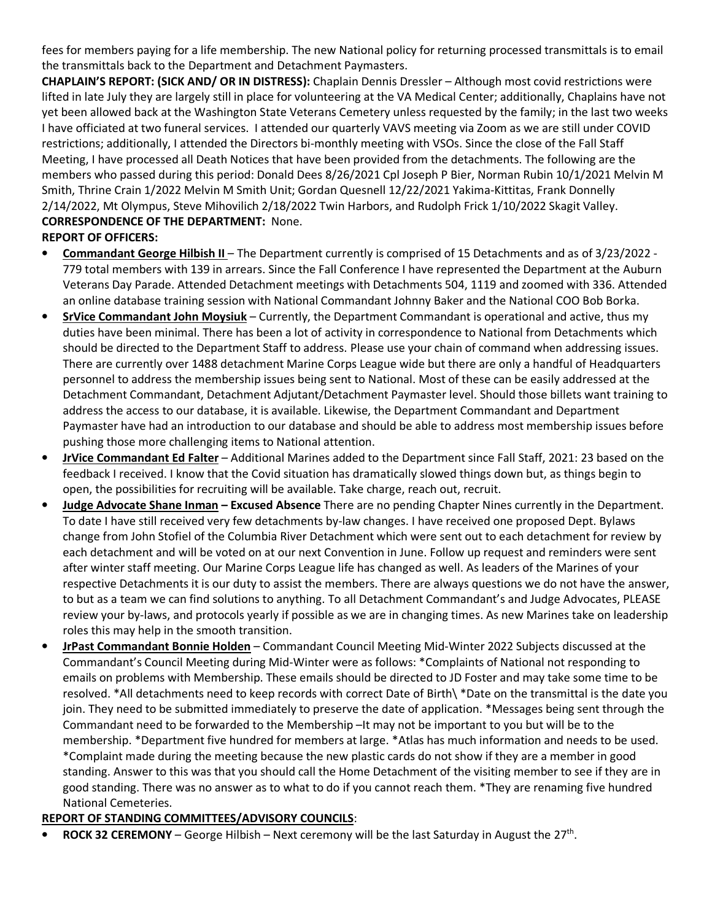fees for members paying for a life membership. The new National policy for returning processed transmittals is to email the transmittals back to the Department and Detachment Paymasters.

**CHAPLAIN'S REPORT: (SICK AND/ OR IN DISTRESS):** Chaplain Dennis Dressler – Although most covid restrictions were lifted in late July they are largely still in place for volunteering at the VA Medical Center; additionally, Chaplains have not yet been allowed back at the Washington State Veterans Cemetery unless requested by the family; in the last two weeks I have officiated at two funeral services. I attended our quarterly VAVS meeting via Zoom as we are still under COVID restrictions; additionally, I attended the Directors bi-monthly meeting with VSOs. Since the close of the Fall Staff Meeting, I have processed all Death Notices that have been provided from the detachments. The following are the members who passed during this period: Donald Dees 8/26/2021 Cpl Joseph P Bier, Norman Rubin 10/1/2021 Melvin M Smith, Thrine Crain 1/2022 Melvin M Smith Unit; Gordan Quesnell 12/22/2021 Yakima-Kittitas, Frank Donnelly 2/14/2022, Mt Olympus, Steve Mihovilich 2/18/2022 Twin Harbors, and Rudolph Frick 1/10/2022 Skagit Valley. **CORRESPONDENCE OF THE DEPARTMENT:** None.

- **REPORT OF OFFICERS:**
- **Commandant George Hilbish II** The Department currently is comprised of 15 Detachments and as of 3/23/2022 779 total members with 139 in arrears. Since the Fall Conference I have represented the Department at the Auburn Veterans Day Parade. Attended Detachment meetings with Detachments 504, 1119 and zoomed with 336. Attended an online database training session with National Commandant Johnny Baker and the National COO Bob Borka.
- **SrVice Commandant John Moysiuk** Currently, the Department Commandant is operational and active, thus my duties have been minimal. There has been a lot of activity in correspondence to National from Detachments which should be directed to the Department Staff to address. Please use your chain of command when addressing issues. There are currently over 1488 detachment Marine Corps League wide but there are only a handful of Headquarters personnel to address the membership issues being sent to National. Most of these can be easily addressed at the Detachment Commandant, Detachment Adjutant/Detachment Paymaster level. Should those billets want training to address the access to our database, it is available. Likewise, the Department Commandant and Department Paymaster have had an introduction to our database and should be able to address most membership issues before pushing those more challenging items to National attention.
- **JrVice Commandant Ed Falter** Additional Marines added to the Department since Fall Staff, 2021: 23 based on the feedback I received. I know that the Covid situation has dramatically slowed things down but, as things begin to open, the possibilities for recruiting will be available. Take charge, reach out, recruit.
- **Judge Advocate Shane Inman Excused Absence** There are no pending Chapter Nines currently in the Department. To date I have still received very few detachments by-law changes. I have received one proposed Dept. Bylaws change from John Stofiel of the Columbia River Detachment which were sent out to each detachment for review by each detachment and will be voted on at our next Convention in June. Follow up request and reminders were sent after winter staff meeting. Our Marine Corps League life has changed as well. As leaders of the Marines of your respective Detachments it is our duty to assist the members. There are always questions we do not have the answer, to but as a team we can find solutions to anything. To all Detachment Commandant's and Judge Advocates, PLEASE review your by-laws, and protocols yearly if possible as we are in changing times. As new Marines take on leadership roles this may help in the smooth transition.
- **JrPast Commandant Bonnie Holden** Commandant Council Meeting Mid-Winter 2022 Subjects discussed at the Commandant's Council Meeting during Mid-Winter were as follows: \*Complaints of National not responding to emails on problems with Membership. These emails should be directed to JD Foster and may take some time to be resolved. \*All detachments need to keep records with correct Date of Birth\ \*Date on the transmittal is the date you join. They need to be submitted immediately to preserve the date of application. \*Messages being sent through the Commandant need to be forwarded to the Membership –It may not be important to you but will be to the membership. \*Department five hundred for members at large. \*Atlas has much information and needs to be used. \*Complaint made during the meeting because the new plastic cards do not show if they are a member in good standing. Answer to this was that you should call the Home Detachment of the visiting member to see if they are in good standing. There was no answer as to what to do if you cannot reach them. \*They are renaming five hundred National Cemeteries.

# **REPORT OF STANDING COMMITTEES/ADVISORY COUNCILS**:

• **ROCK 32 CEREMONY** – George Hilbish – Next ceremony will be the last Saturday in August the 27<sup>th</sup>.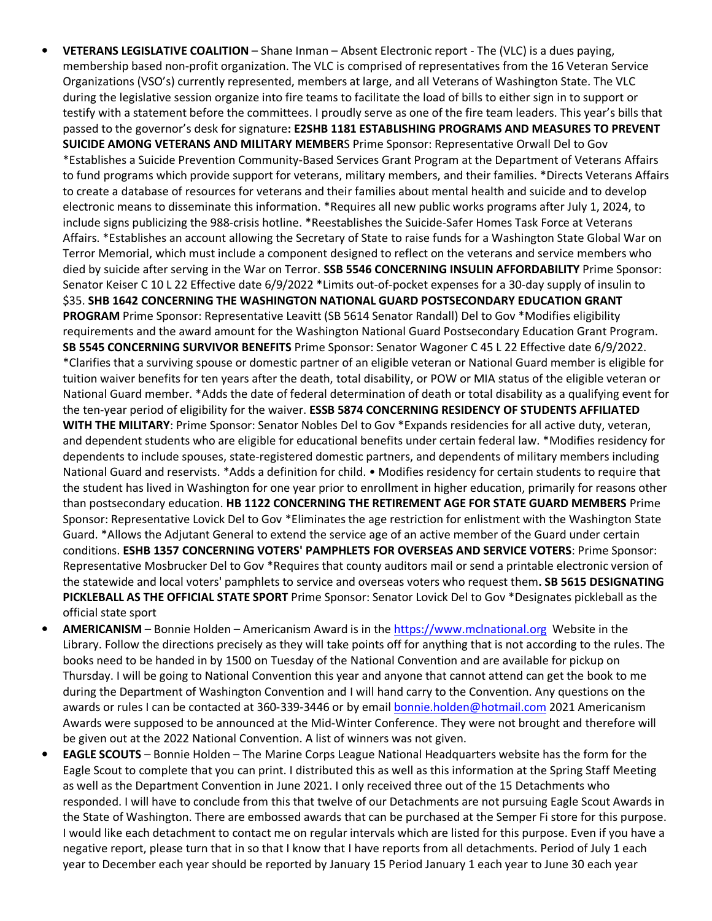- **VETERANS LEGISLATIVE COALITION** Shane Inman Absent Electronic report The (VLC) is a dues paying, membership based non-profit organization. The VLC is comprised of representatives from the 16 Veteran Service Organizations (VSO's) currently represented, members at large, and all Veterans of Washington State. The VLC during the legislative session organize into fire teams to facilitate the load of bills to either sign in to support or testify with a statement before the committees. I proudly serve as one of the fire team leaders. This year's bills that passed to the governor's desk for signature**: E2SHB 1181 ESTABLISHING PROGRAMS AND MEASURES TO PREVENT SUICIDE AMONG VETERANS AND MILITARY MEMBER**S Prime Sponsor: Representative Orwall Del to Gov \*Establishes a Suicide Prevention Community-Based Services Grant Program at the Department of Veterans Affairs to fund programs which provide support for veterans, military members, and their families. \*Directs Veterans Affairs to create a database of resources for veterans and their families about mental health and suicide and to develop electronic means to disseminate this information. \*Requires all new public works programs after July 1, 2024, to include signs publicizing the 988-crisis hotline. \*Reestablishes the Suicide-Safer Homes Task Force at Veterans Affairs. \*Establishes an account allowing the Secretary of State to raise funds for a Washington State Global War on Terror Memorial, which must include a component designed to reflect on the veterans and service members who died by suicide after serving in the War on Terror. **SSB 5546 CONCERNING INSULIN AFFORDABILITY** Prime Sponsor: Senator Keiser C 10 L 22 Effective date 6/9/2022 \*Limits out-of-pocket expenses for a 30-day supply of insulin to \$35. **SHB 1642 CONCERNING THE WASHINGTON NATIONAL GUARD POSTSECONDARY EDUCATION GRANT PROGRAM** Prime Sponsor: Representative Leavitt (SB 5614 Senator Randall) Del to Gov \*Modifies eligibility requirements and the award amount for the Washington National Guard Postsecondary Education Grant Program. **SB 5545 CONCERNING SURVIVOR BENEFITS** Prime Sponsor: Senator Wagoner C 45 L 22 Effective date 6/9/2022. \*Clarifies that a surviving spouse or domestic partner of an eligible veteran or National Guard member is eligible for tuition waiver benefits for ten years after the death, total disability, or POW or MIA status of the eligible veteran or National Guard member. \*Adds the date of federal determination of death or total disability as a qualifying event for the ten-year period of eligibility for the waiver. **ESSB 5874 CONCERNING RESIDENCY OF STUDENTS AFFILIATED WITH THE MILITARY**: Prime Sponsor: Senator Nobles Del to Gov \*Expands residencies for all active duty, veteran, and dependent students who are eligible for educational benefits under certain federal law. \*Modifies residency for dependents to include spouses, state-registered domestic partners, and dependents of military members including National Guard and reservists. \*Adds a definition for child. • Modifies residency for certain students to require that the student has lived in Washington for one year prior to enrollment in higher education, primarily for reasons other than postsecondary education. **HB 1122 CONCERNING THE RETIREMENT AGE FOR STATE GUARD MEMBERS** Prime Sponsor: Representative Lovick Del to Gov \*Eliminates the age restriction for enlistment with the Washington State Guard. \*Allows the Adjutant General to extend the service age of an active member of the Guard under certain conditions. **ESHB 1357 CONCERNING VOTERS' PAMPHLETS FOR OVERSEAS AND SERVICE VOTERS**: Prime Sponsor: Representative Mosbrucker Del to Gov \*Requires that county auditors mail or send a printable electronic version of the statewide and local voters' pamphlets to service and overseas voters who request them**. SB 5615 DESIGNATING PICKLEBALL AS THE OFFICIAL STATE SPORT** Prime Sponsor: Senator Lovick Del to Gov \*Designates pickleball as the official state sport
- **AMERICANISM** Bonnie Holden Americanism Award is in the https://www.mclnational.org Website in the Library. Follow the directions precisely as they will take points off for anything that is not according to the rules. The books need to be handed in by 1500 on Tuesday of the National Convention and are available for pickup on Thursday. I will be going to National Convention this year and anyone that cannot attend can get the book to me during the Department of Washington Convention and I will hand carry to the Convention. Any questions on the awards or rules I can be contacted at 360-339-3446 or by email bonnie.holden@hotmail.com 2021 Americanism Awards were supposed to be announced at the Mid-Winter Conference. They were not brought and therefore will be given out at the 2022 National Convention. A list of winners was not given.
- **EAGLE SCOUTS**  Bonnie Holden The Marine Corps League National Headquarters website has the form for the Eagle Scout to complete that you can print. I distributed this as well as this information at the Spring Staff Meeting as well as the Department Convention in June 2021. I only received three out of the 15 Detachments who responded. I will have to conclude from this that twelve of our Detachments are not pursuing Eagle Scout Awards in the State of Washington. There are embossed awards that can be purchased at the Semper Fi store for this purpose. I would like each detachment to contact me on regular intervals which are listed for this purpose. Even if you have a negative report, please turn that in so that I know that I have reports from all detachments. Period of July 1 each year to December each year should be reported by January 15 Period January 1 each year to June 30 each year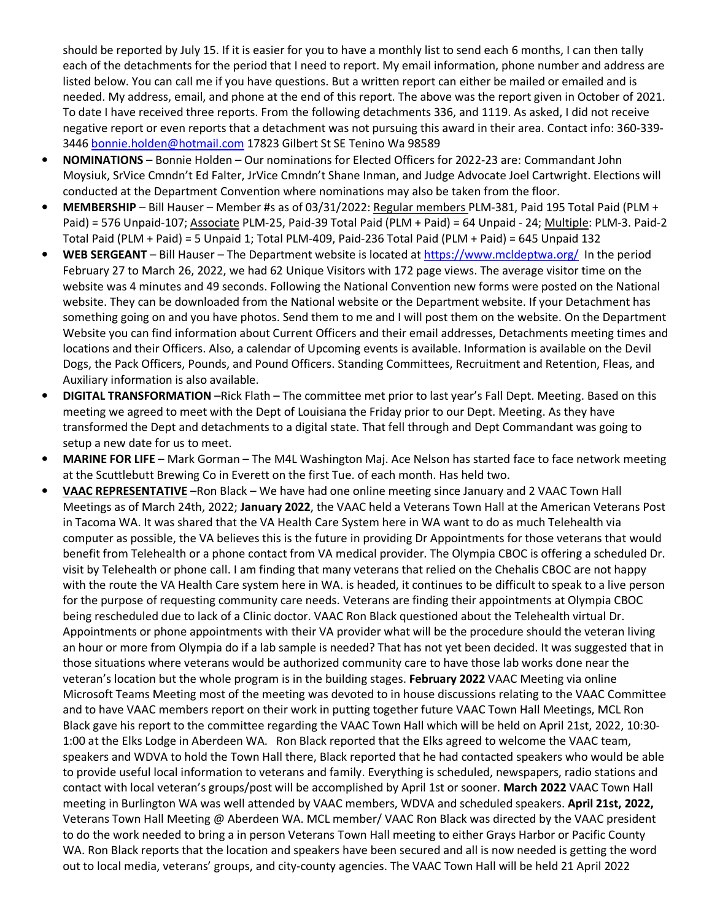should be reported by July 15. If it is easier for you to have a monthly list to send each 6 months, I can then tally each of the detachments for the period that I need to report. My email information, phone number and address are listed below. You can call me if you have questions. But a written report can either be mailed or emailed and is needed. My address, email, and phone at the end of this report. The above was the report given in October of 2021. To date I have received three reports. From the following detachments 336, and 1119. As asked, I did not receive negative report or even reports that a detachment was not pursuing this award in their area. Contact info: 360-339- 3446 bonnie.holden@hotmail.com 17823 Gilbert St SE Tenino Wa 98589

- **NOMINATIONS** Bonnie Holden Our nominations for Elected Officers for 2022-23 are: Commandant John Moysiuk, SrVice Cmndn't Ed Falter, JrVice Cmndn't Shane Inman, and Judge Advocate Joel Cartwright. Elections will conducted at the Department Convention where nominations may also be taken from the floor.
- **MEMBERSHIP** Bill Hauser Member #s as of 03/31/2022: Regular members PLM-381, Paid 195 Total Paid (PLM + Paid) = 576 Unpaid-107; Associate PLM-25, Paid-39 Total Paid (PLM + Paid) = 64 Unpaid - 24; Multiple: PLM-3. Paid-2 Total Paid (PLM + Paid) = 5 Unpaid 1; Total PLM-409, Paid-236 Total Paid (PLM + Paid) = 645 Unpaid 132
- **WEB SERGEANT**  Bill Hauser The Department website is located at https://www.mcldeptwa.org/ In the period February 27 to March 26, 2022, we had 62 Unique Visitors with 172 page views. The average visitor time on the website was 4 minutes and 49 seconds. Following the National Convention new forms were posted on the National website. They can be downloaded from the National website or the Department website. If your Detachment has something going on and you have photos. Send them to me and I will post them on the website. On the Department Website you can find information about Current Officers and their email addresses, Detachments meeting times and locations and their Officers. Also, a calendar of Upcoming events is available. Information is available on the Devil Dogs, the Pack Officers, Pounds, and Pound Officers. Standing Committees, Recruitment and Retention, Fleas, and Auxiliary information is also available.
- **DIGITAL TRANSFORMATION** –Rick Flath The committee met prior to last year's Fall Dept. Meeting. Based on this meeting we agreed to meet with the Dept of Louisiana the Friday prior to our Dept. Meeting. As they have transformed the Dept and detachments to a digital state. That fell through and Dept Commandant was going to setup a new date for us to meet.
- **MARINE FOR LIFE** Mark Gorman The M4L Washington Maj. Ace Nelson has started face to face network meeting at the Scuttlebutt Brewing Co in Everett on the first Tue. of each month. Has held two.
- **VAAC REPRESENTATIVE** –Ron Black We have had one online meeting since January and 2 VAAC Town Hall Meetings as of March 24th, 2022; **January 2022**, the VAAC held a Veterans Town Hall at the American Veterans Post in Tacoma WA. It was shared that the VA Health Care System here in WA want to do as much Telehealth via computer as possible, the VA believes this is the future in providing Dr Appointments for those veterans that would benefit from Telehealth or a phone contact from VA medical provider. The Olympia CBOC is offering a scheduled Dr. visit by Telehealth or phone call. I am finding that many veterans that relied on the Chehalis CBOC are not happy with the route the VA Health Care system here in WA. is headed, it continues to be difficult to speak to a live person for the purpose of requesting community care needs. Veterans are finding their appointments at Olympia CBOC being rescheduled due to lack of a Clinic doctor. VAAC Ron Black questioned about the Telehealth virtual Dr. Appointments or phone appointments with their VA provider what will be the procedure should the veteran living an hour or more from Olympia do if a lab sample is needed? That has not yet been decided. It was suggested that in those situations where veterans would be authorized community care to have those lab works done near the veteran's location but the whole program is in the building stages. **February 2022** VAAC Meeting via online Microsoft Teams Meeting most of the meeting was devoted to in house discussions relating to the VAAC Committee and to have VAAC members report on their work in putting together future VAAC Town Hall Meetings, MCL Ron Black gave his report to the committee regarding the VAAC Town Hall which will be held on April 21st, 2022, 10:30- 1:00 at the Elks Lodge in Aberdeen WA. Ron Black reported that the Elks agreed to welcome the VAAC team, speakers and WDVA to hold the Town Hall there, Black reported that he had contacted speakers who would be able to provide useful local information to veterans and family. Everything is scheduled, newspapers, radio stations and contact with local veteran's groups/post will be accomplished by April 1st or sooner. **March 2022** VAAC Town Hall meeting in Burlington WA was well attended by VAAC members, WDVA and scheduled speakers. **April 21st, 2022,** Veterans Town Hall Meeting @ Aberdeen WA. MCL member/ VAAC Ron Black was directed by the VAAC president to do the work needed to bring a in person Veterans Town Hall meeting to either Grays Harbor or Pacific County WA. Ron Black reports that the location and speakers have been secured and all is now needed is getting the word out to local media, veterans' groups, and city-county agencies. The VAAC Town Hall will be held 21 April 2022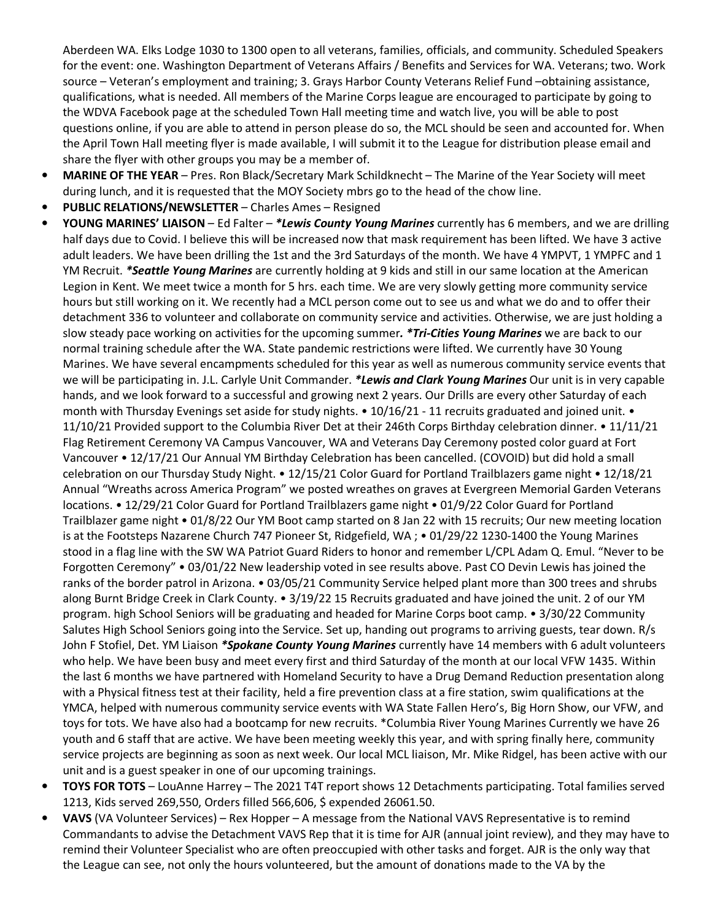Aberdeen WA. Elks Lodge 1030 to 1300 open to all veterans, families, officials, and community. Scheduled Speakers for the event: one. Washington Department of Veterans Affairs / Benefits and Services for WA. Veterans; two. Work source – Veteran's employment and training; 3. Grays Harbor County Veterans Relief Fund –obtaining assistance, qualifications, what is needed. All members of the Marine Corps league are encouraged to participate by going to the WDVA Facebook page at the scheduled Town Hall meeting time and watch live, you will be able to post questions online, if you are able to attend in person please do so, the MCL should be seen and accounted for. When the April Town Hall meeting flyer is made available, I will submit it to the League for distribution please email and share the flyer with other groups you may be a member of.

- **MARINE OF THE YEAR**  Pres. Ron Black/Secretary Mark Schildknecht The Marine of the Year Society will meet during lunch, and it is requested that the MOY Society mbrs go to the head of the chow line.
- **PUBLIC RELATIONS/NEWSLETTER** Charles Ames Resigned
- **YOUNG MARINES' LIAISON** Ed Falter *\*Lewis County Young Marines* currently has 6 members, and we are drilling half days due to Covid. I believe this will be increased now that mask requirement has been lifted. We have 3 active adult leaders. We have been drilling the 1st and the 3rd Saturdays of the month. We have 4 YMPVT, 1 YMPFC and 1 YM Recruit. *\*Seattle Young Marines* are currently holding at 9 kids and still in our same location at the American Legion in Kent. We meet twice a month for 5 hrs. each time. We are very slowly getting more community service hours but still working on it. We recently had a MCL person come out to see us and what we do and to offer their detachment 336 to volunteer and collaborate on community service and activities. Otherwise, we are just holding a slow steady pace working on activities for the upcoming summer*. \*Tri-Cities Young Marines* we are back to our normal training schedule after the WA. State pandemic restrictions were lifted. We currently have 30 Young Marines. We have several encampments scheduled for this year as well as numerous community service events that we will be participating in. J.L. Carlyle Unit Commander. *\*Lewis and Clark Young Marines* Our unit is in very capable hands, and we look forward to a successful and growing next 2 years. Our Drills are every other Saturday of each month with Thursday Evenings set aside for study nights. • 10/16/21 - 11 recruits graduated and joined unit. • 11/10/21 Provided support to the Columbia River Det at their 246th Corps Birthday celebration dinner. • 11/11/21 Flag Retirement Ceremony VA Campus Vancouver, WA and Veterans Day Ceremony posted color guard at Fort Vancouver • 12/17/21 Our Annual YM Birthday Celebration has been cancelled. (COVOID) but did hold a small celebration on our Thursday Study Night. • 12/15/21 Color Guard for Portland Trailblazers game night • 12/18/21 Annual "Wreaths across America Program" we posted wreathes on graves at Evergreen Memorial Garden Veterans locations. • 12/29/21 Color Guard for Portland Trailblazers game night • 01/9/22 Color Guard for Portland Trailblazer game night • 01/8/22 Our YM Boot camp started on 8 Jan 22 with 15 recruits; Our new meeting location is at the Footsteps Nazarene Church 747 Pioneer St, Ridgefield, WA ; • 01/29/22 1230-1400 the Young Marines stood in a flag line with the SW WA Patriot Guard Riders to honor and remember L/CPL Adam Q. Emul. "Never to be Forgotten Ceremony" • 03/01/22 New leadership voted in see results above. Past CO Devin Lewis has joined the ranks of the border patrol in Arizona. • 03/05/21 Community Service helped plant more than 300 trees and shrubs along Burnt Bridge Creek in Clark County. • 3/19/22 15 Recruits graduated and have joined the unit. 2 of our YM program. high School Seniors will be graduating and headed for Marine Corps boot camp. • 3/30/22 Community Salutes High School Seniors going into the Service. Set up, handing out programs to arriving guests, tear down. R/s John F Stofiel, Det. YM Liaison *\*Spokane County Young Marines* currently have 14 members with 6 adult volunteers who help. We have been busy and meet every first and third Saturday of the month at our local VFW 1435. Within the last 6 months we have partnered with Homeland Security to have a Drug Demand Reduction presentation along with a Physical fitness test at their facility, held a fire prevention class at a fire station, swim qualifications at the YMCA, helped with numerous community service events with WA State Fallen Hero's, Big Horn Show, our VFW, and toys for tots. We have also had a bootcamp for new recruits. \*Columbia River Young Marines Currently we have 26 youth and 6 staff that are active. We have been meeting weekly this year, and with spring finally here, community service projects are beginning as soon as next week. Our local MCL liaison, Mr. Mike Ridgel, has been active with our unit and is a guest speaker in one of our upcoming trainings.
- **TOYS FOR TOTS** LouAnne Harrey The 2021 T4T report shows 12 Detachments participating. Total families served 1213, Kids served 269,550, Orders filled 566,606, \$ expended 26061.50.
- **VAVS** (VA Volunteer Services) Rex Hopper A message from the National VAVS Representative is to remind Commandants to advise the Detachment VAVS Rep that it is time for AJR (annual joint review), and they may have to remind their Volunteer Specialist who are often preoccupied with other tasks and forget. AJR is the only way that the League can see, not only the hours volunteered, but the amount of donations made to the VA by the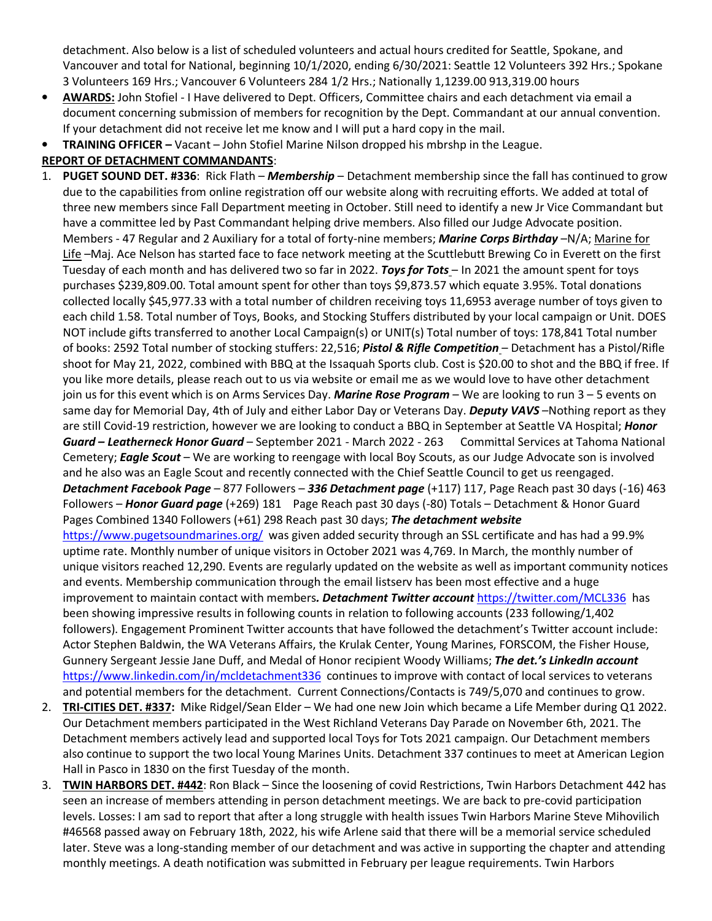detachment. Also below is a list of scheduled volunteers and actual hours credited for Seattle, Spokane, and Vancouver and total for National, beginning 10/1/2020, ending 6/30/2021: Seattle 12 Volunteers 392 Hrs.; Spokane 3 Volunteers 169 Hrs.; Vancouver 6 Volunteers 284 1/2 Hrs.; Nationally 1,1239.00 913,319.00 hours

- **AWARDS:** John Stofiel I Have delivered to Dept. Officers, Committee chairs and each detachment via email a document concerning submission of members for recognition by the Dept. Commandant at our annual convention. If your detachment did not receive let me know and I will put a hard copy in the mail.
- **TRAINING OFFICER** Vacant John Stofiel Marine Nilson dropped his mbrshp in the League.

## **REPORT OF DETACHMENT COMMANDANTS**:

- 1. **PUGET SOUND DET. #336**: Rick Flath *Membership* Detachment membership since the fall has continued to grow due to the capabilities from online registration off our website along with recruiting efforts. We added at total of three new members since Fall Department meeting in October. Still need to identify a new Jr Vice Commandant but have a committee led by Past Commandant helping drive members. Also filled our Judge Advocate position. Members - 47 Regular and 2 Auxiliary for a total of forty-nine members; *Marine Corps Birthday* –N/A; Marine for Life –Maj. Ace Nelson has started face to face network meeting at the Scuttlebutt Brewing Co in Everett on the first Tuesday of each month and has delivered two so far in 2022. *Toys for Tots* – In 2021 the amount spent for toys purchases \$239,809.00. Total amount spent for other than toys \$9,873.57 which equate 3.95%. Total donations collected locally \$45,977.33 with a total number of children receiving toys 11,6953 average number of toys given to each child 1.58. Total number of Toys, Books, and Stocking Stuffers distributed by your local campaign or Unit. DOES NOT include gifts transferred to another Local Campaign(s) or UNIT(s) Total number of toys: 178,841 Total number of books: 2592 Total number of stocking stuffers: 22,516; *Pistol & Rifle Competition* – Detachment has a Pistol/Rifle shoot for May 21, 2022, combined with BBQ at the Issaquah Sports club. Cost is \$20.00 to shot and the BBQ if free. If you like more details, please reach out to us via website or email me as we would love to have other detachment join us for this event which is on Arms Services Day. *Marine Rose Program* – We are looking to run 3 – 5 events on same day for Memorial Day, 4th of July and either Labor Day or Veterans Day. *Deputy VAVS* –Nothing report as they are still Covid-19 restriction, however we are looking to conduct a BBQ in September at Seattle VA Hospital; *Honor Guard – Leatherneck Honor Guard* – September 2021 - March 2022 - 263 Committal Services at Tahoma National Cemetery; *Eagle Scout* – We are working to reengage with local Boy Scouts, as our Judge Advocate son is involved and he also was an Eagle Scout and recently connected with the Chief Seattle Council to get us reengaged. *Detachment Facebook Page* – 877 Followers – *336 Detachment page* (+117) 117, Page Reach past 30 days (-16) 463 Followers – *Honor Guard page* (+269) 181 Page Reach past 30 days (-80) Totals – Detachment & Honor Guard Pages Combined 1340 Followers (+61) 298 Reach past 30 days; *The detachment website* https://www.pugetsoundmarines.org/ was given added security through an SSL certificate and has had a 99.9% uptime rate. Monthly number of unique visitors in October 2021 was 4,769. In March, the monthly number of unique visitors reached 12,290. Events are regularly updated on the website as well as important community notices and events. Membership communication through the email listserv has been most effective and a huge improvement to maintain contact with members*. Detachment Twitter account* https://twitter.com/MCL336 has been showing impressive results in following counts in relation to following accounts (233 following/1,402 followers). Engagement Prominent Twitter accounts that have followed the detachment's Twitter account include: Actor Stephen Baldwin, the WA Veterans Affairs, the Krulak Center, Young Marines, FORSCOM, the Fisher House, Gunnery Sergeant Jessie Jane Duff, and Medal of Honor recipient Woody Williams; *The det.'s LinkedIn account* https://www.linkedin.com/in/mcldetachment336 continues to improve with contact of local services to veterans and potential members for the detachment. Current Connections/Contacts is 749/5,070 and continues to grow.
- 2. **TRI-CITIES DET. #337:** Mike Ridgel/Sean Elder We had one new Join which became a Life Member during Q1 2022. Our Detachment members participated in the West Richland Veterans Day Parade on November 6th, 2021. The Detachment members actively lead and supported local Toys for Tots 2021 campaign. Our Detachment members also continue to support the two local Young Marines Units. Detachment 337 continues to meet at American Legion Hall in Pasco in 1830 on the first Tuesday of the month.
- 3. **TWIN HARBORS DET. #442**: Ron Black Since the loosening of covid Restrictions, Twin Harbors Detachment 442 has seen an increase of members attending in person detachment meetings. We are back to pre-covid participation levels. Losses: I am sad to report that after a long struggle with health issues Twin Harbors Marine Steve Mihovilich #46568 passed away on February 18th, 2022, his wife Arlene said that there will be a memorial service scheduled later. Steve was a long-standing member of our detachment and was active in supporting the chapter and attending monthly meetings. A death notification was submitted in February per league requirements. Twin Harbors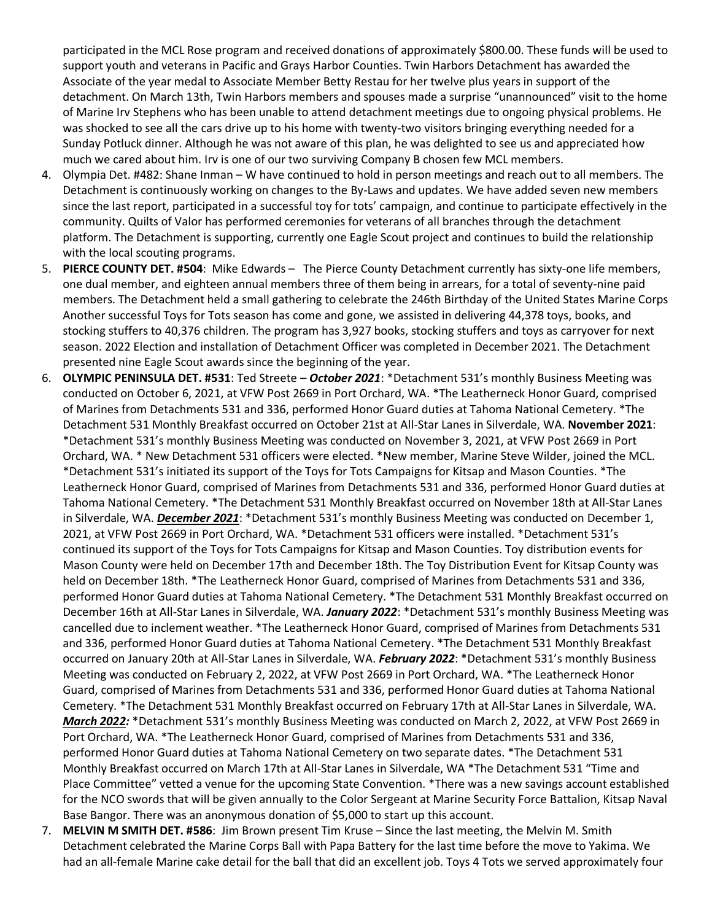participated in the MCL Rose program and received donations of approximately \$800.00. These funds will be used to support youth and veterans in Pacific and Grays Harbor Counties. Twin Harbors Detachment has awarded the Associate of the year medal to Associate Member Betty Restau for her twelve plus years in support of the detachment. On March 13th, Twin Harbors members and spouses made a surprise "unannounced" visit to the home of Marine Irv Stephens who has been unable to attend detachment meetings due to ongoing physical problems. He was shocked to see all the cars drive up to his home with twenty-two visitors bringing everything needed for a Sunday Potluck dinner. Although he was not aware of this plan, he was delighted to see us and appreciated how much we cared about him. Irv is one of our two surviving Company B chosen few MCL members.

- 4. Olympia Det. #482: Shane Inman W have continued to hold in person meetings and reach out to all members. The Detachment is continuously working on changes to the By-Laws and updates. We have added seven new members since the last report, participated in a successful toy for tots' campaign, and continue to participate effectively in the community. Quilts of Valor has performed ceremonies for veterans of all branches through the detachment platform. The Detachment is supporting, currently one Eagle Scout project and continues to build the relationship with the local scouting programs.
- 5. **PIERCE COUNTY DET. #504**: Mike Edwards The Pierce County Detachment currently has sixty-one life members, one dual member, and eighteen annual members three of them being in arrears, for a total of seventy-nine paid members. The Detachment held a small gathering to celebrate the 246th Birthday of the United States Marine Corps Another successful Toys for Tots season has come and gone, we assisted in delivering 44,378 toys, books, and stocking stuffers to 40,376 children. The program has 3,927 books, stocking stuffers and toys as carryover for next season. 2022 Election and installation of Detachment Officer was completed in December 2021. The Detachment presented nine Eagle Scout awards since the beginning of the year.
- 6. **OLYMPIC PENINSULA DET. #531**: Ted Streete *October 2021*: \*Detachment 531's monthly Business Meeting was conducted on October 6, 2021, at VFW Post 2669 in Port Orchard, WA. \*The Leatherneck Honor Guard, comprised of Marines from Detachments 531 and 336, performed Honor Guard duties at Tahoma National Cemetery. \*The Detachment 531 Monthly Breakfast occurred on October 21st at All-Star Lanes in Silverdale, WA. **November 2021**: \*Detachment 531's monthly Business Meeting was conducted on November 3, 2021, at VFW Post 2669 in Port Orchard, WA. \* New Detachment 531 officers were elected. \*New member, Marine Steve Wilder, joined the MCL. \*Detachment 531's initiated its support of the Toys for Tots Campaigns for Kitsap and Mason Counties. \*The Leatherneck Honor Guard, comprised of Marines from Detachments 531 and 336, performed Honor Guard duties at Tahoma National Cemetery. \*The Detachment 531 Monthly Breakfast occurred on November 18th at All-Star Lanes in Silverdale, WA. *December 2021*: \*Detachment 531's monthly Business Meeting was conducted on December 1, 2021, at VFW Post 2669 in Port Orchard, WA. \*Detachment 531 officers were installed. \*Detachment 531's continued its support of the Toys for Tots Campaigns for Kitsap and Mason Counties. Toy distribution events for Mason County were held on December 17th and December 18th. The Toy Distribution Event for Kitsap County was held on December 18th. \*The Leatherneck Honor Guard, comprised of Marines from Detachments 531 and 336, performed Honor Guard duties at Tahoma National Cemetery. \*The Detachment 531 Monthly Breakfast occurred on December 16th at All-Star Lanes in Silverdale, WA. *January 2022*: \*Detachment 531's monthly Business Meeting was cancelled due to inclement weather. \*The Leatherneck Honor Guard, comprised of Marines from Detachments 531 and 336, performed Honor Guard duties at Tahoma National Cemetery. \*The Detachment 531 Monthly Breakfast occurred on January 20th at All-Star Lanes in Silverdale, WA. *February 2022*: \*Detachment 531's monthly Business Meeting was conducted on February 2, 2022, at VFW Post 2669 in Port Orchard, WA. \*The Leatherneck Honor Guard, comprised of Marines from Detachments 531 and 336, performed Honor Guard duties at Tahoma National Cemetery. \*The Detachment 531 Monthly Breakfast occurred on February 17th at All-Star Lanes in Silverdale, WA. *March 2022:* \*Detachment 531's monthly Business Meeting was conducted on March 2, 2022, at VFW Post 2669 in Port Orchard, WA. \*The Leatherneck Honor Guard, comprised of Marines from Detachments 531 and 336, performed Honor Guard duties at Tahoma National Cemetery on two separate dates. \*The Detachment 531 Monthly Breakfast occurred on March 17th at All-Star Lanes in Silverdale, WA \*The Detachment 531 "Time and Place Committee" vetted a venue for the upcoming State Convention. \*There was a new savings account established for the NCO swords that will be given annually to the Color Sergeant at Marine Security Force Battalion, Kitsap Naval Base Bangor. There was an anonymous donation of \$5,000 to start up this account.
- 7. **MELVIN M SMITH DET. #586**: Jim Brown present Tim Kruse Since the last meeting, the Melvin M. Smith Detachment celebrated the Marine Corps Ball with Papa Battery for the last time before the move to Yakima. We had an all-female Marine cake detail for the ball that did an excellent job. Toys 4 Tots we served approximately four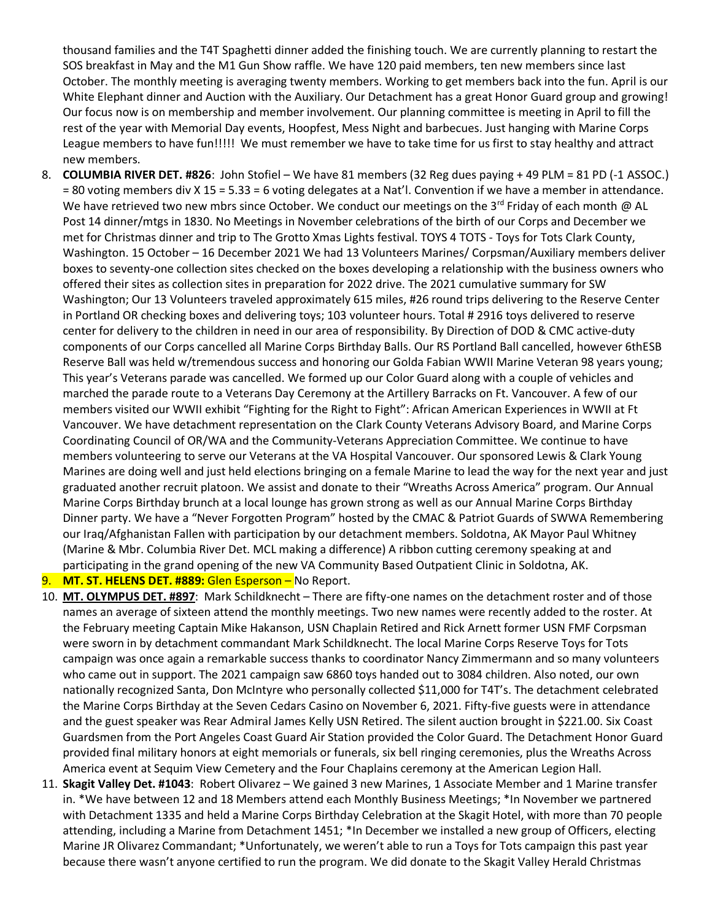thousand families and the T4T Spaghetti dinner added the finishing touch. We are currently planning to restart the SOS breakfast in May and the M1 Gun Show raffle. We have 120 paid members, ten new members since last October. The monthly meeting is averaging twenty members. Working to get members back into the fun. April is our White Elephant dinner and Auction with the Auxiliary. Our Detachment has a great Honor Guard group and growing! Our focus now is on membership and member involvement. Our planning committee is meeting in April to fill the rest of the year with Memorial Day events, Hoopfest, Mess Night and barbecues. Just hanging with Marine Corps League members to have fun!!!!! We must remember we have to take time for us first to stay healthy and attract new members.

8. **COLUMBIA RIVER DET. #826**: John Stofiel – We have 81 members (32 Reg dues paying + 49 PLM = 81 PD (-1 ASSOC.) = 80 voting members div X 15 = 5.33 = 6 voting delegates at a Nat'l. Convention if we have a member in attendance. We have retrieved two new mbrs since October. We conduct our meetings on the 3<sup>rd</sup> Friday of each month @ AL Post 14 dinner/mtgs in 1830. No Meetings in November celebrations of the birth of our Corps and December we met for Christmas dinner and trip to The Grotto Xmas Lights festival. TOYS 4 TOTS - Toys for Tots Clark County, Washington. 15 October – 16 December 2021 We had 13 Volunteers Marines/ Corpsman/Auxiliary members deliver boxes to seventy-one collection sites checked on the boxes developing a relationship with the business owners who offered their sites as collection sites in preparation for 2022 drive. The 2021 cumulative summary for SW Washington; Our 13 Volunteers traveled approximately 615 miles, #26 round trips delivering to the Reserve Center in Portland OR checking boxes and delivering toys; 103 volunteer hours. Total # 2916 toys delivered to reserve center for delivery to the children in need in our area of responsibility. By Direction of DOD & CMC active-duty components of our Corps cancelled all Marine Corps Birthday Balls. Our RS Portland Ball cancelled, however 6thESB Reserve Ball was held w/tremendous success and honoring our Golda Fabian WWII Marine Veteran 98 years young; This year's Veterans parade was cancelled. We formed up our Color Guard along with a couple of vehicles and marched the parade route to a Veterans Day Ceremony at the Artillery Barracks on Ft. Vancouver. A few of our members visited our WWII exhibit "Fighting for the Right to Fight": African American Experiences in WWII at Ft Vancouver. We have detachment representation on the Clark County Veterans Advisory Board, and Marine Corps Coordinating Council of OR/WA and the Community-Veterans Appreciation Committee. We continue to have members volunteering to serve our Veterans at the VA Hospital Vancouver. Our sponsored Lewis & Clark Young Marines are doing well and just held elections bringing on a female Marine to lead the way for the next year and just graduated another recruit platoon. We assist and donate to their "Wreaths Across America" program. Our Annual Marine Corps Birthday brunch at a local lounge has grown strong as well as our Annual Marine Corps Birthday Dinner party. We have a "Never Forgotten Program" hosted by the CMAC & Patriot Guards of SWWA Remembering our Iraq/Afghanistan Fallen with participation by our detachment members. Soldotna, AK Mayor Paul Whitney (Marine & Mbr. Columbia River Det. MCL making a difference) A ribbon cutting ceremony speaking at and participating in the grand opening of the new VA Community Based Outpatient Clinic in Soldotna, AK.

#### 9. **MT. ST. HELENS DET. #889:** Glen Esperson – No Report.

- 10. **MT. OLYMPUS DET. #897**: Mark Schildknecht There are fifty-one names on the detachment roster and of those names an average of sixteen attend the monthly meetings. Two new names were recently added to the roster. At the February meeting Captain Mike Hakanson, USN Chaplain Retired and Rick Arnett former USN FMF Corpsman were sworn in by detachment commandant Mark Schildknecht. The local Marine Corps Reserve Toys for Tots campaign was once again a remarkable success thanks to coordinator Nancy Zimmermann and so many volunteers who came out in support. The 2021 campaign saw 6860 toys handed out to 3084 children. Also noted, our own nationally recognized Santa, Don McIntyre who personally collected \$11,000 for T4T's. The detachment celebrated the Marine Corps Birthday at the Seven Cedars Casino on November 6, 2021. Fifty-five guests were in attendance and the guest speaker was Rear Admiral James Kelly USN Retired. The silent auction brought in \$221.00. Six Coast Guardsmen from the Port Angeles Coast Guard Air Station provided the Color Guard. The Detachment Honor Guard provided final military honors at eight memorials or funerals, six bell ringing ceremonies, plus the Wreaths Across America event at Sequim View Cemetery and the Four Chaplains ceremony at the American Legion Hall.
- 11. **Skagit Valley Det. #1043**: Robert Olivarez We gained 3 new Marines, 1 Associate Member and 1 Marine transfer in. \*We have between 12 and 18 Members attend each Monthly Business Meetings; \*In November we partnered with Detachment 1335 and held a Marine Corps Birthday Celebration at the Skagit Hotel, with more than 70 people attending, including a Marine from Detachment 1451; \*In December we installed a new group of Officers, electing Marine JR Olivarez Commandant; \*Unfortunately, we weren't able to run a Toys for Tots campaign this past year because there wasn't anyone certified to run the program. We did donate to the Skagit Valley Herald Christmas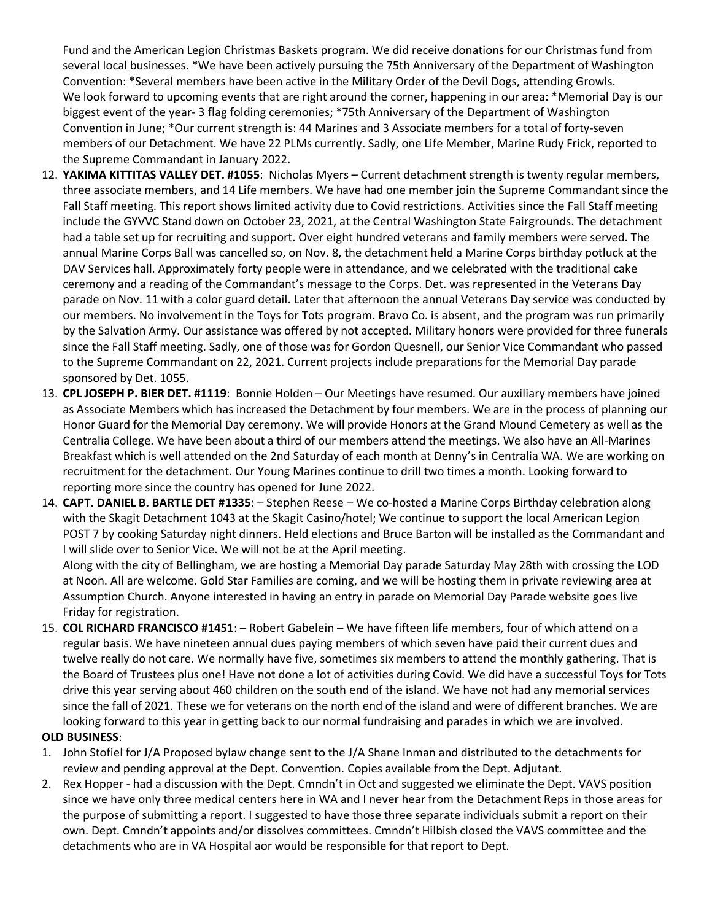Fund and the American Legion Christmas Baskets program. We did receive donations for our Christmas fund from several local businesses. \*We have been actively pursuing the 75th Anniversary of the Department of Washington Convention: \*Several members have been active in the Military Order of the Devil Dogs, attending Growls. We look forward to upcoming events that are right around the corner, happening in our area: \*Memorial Day is our biggest event of the year- 3 flag folding ceremonies; \*75th Anniversary of the Department of Washington Convention in June; \*Our current strength is: 44 Marines and 3 Associate members for a total of forty-seven members of our Detachment. We have 22 PLMs currently. Sadly, one Life Member, Marine Rudy Frick, reported to the Supreme Commandant in January 2022.

- 12. **YAKIMA KITTITAS VALLEY DET. #1055**: Nicholas Myers Current detachment strength is twenty regular members, three associate members, and 14 Life members. We have had one member join the Supreme Commandant since the Fall Staff meeting. This report shows limited activity due to Covid restrictions. Activities since the Fall Staff meeting include the GYVVC Stand down on October 23, 2021, at the Central Washington State Fairgrounds. The detachment had a table set up for recruiting and support. Over eight hundred veterans and family members were served. The annual Marine Corps Ball was cancelled so, on Nov. 8, the detachment held a Marine Corps birthday potluck at the DAV Services hall. Approximately forty people were in attendance, and we celebrated with the traditional cake ceremony and a reading of the Commandant's message to the Corps. Det. was represented in the Veterans Day parade on Nov. 11 with a color guard detail. Later that afternoon the annual Veterans Day service was conducted by our members. No involvement in the Toys for Tots program. Bravo Co. is absent, and the program was run primarily by the Salvation Army. Our assistance was offered by not accepted. Military honors were provided for three funerals since the Fall Staff meeting. Sadly, one of those was for Gordon Quesnell, our Senior Vice Commandant who passed to the Supreme Commandant on 22, 2021. Current projects include preparations for the Memorial Day parade sponsored by Det. 1055.
- 13. **CPL JOSEPH P. BIER DET. #1119**: Bonnie Holden Our Meetings have resumed. Our auxiliary members have joined as Associate Members which has increased the Detachment by four members. We are in the process of planning our Honor Guard for the Memorial Day ceremony. We will provide Honors at the Grand Mound Cemetery as well as the Centralia College. We have been about a third of our members attend the meetings. We also have an All-Marines Breakfast which is well attended on the 2nd Saturday of each month at Denny's in Centralia WA. We are working on recruitment for the detachment. Our Young Marines continue to drill two times a month. Looking forward to reporting more since the country has opened for June 2022.
- 14. **CAPT. DANIEL B. BARTLE DET #1335:**  Stephen Reese We co-hosted a Marine Corps Birthday celebration along with the Skagit Detachment 1043 at the Skagit Casino/hotel; We continue to support the local American Legion POST 7 by cooking Saturday night dinners. Held elections and Bruce Barton will be installed as the Commandant and I will slide over to Senior Vice. We will not be at the April meeting.

Along with the city of Bellingham, we are hosting a Memorial Day parade Saturday May 28th with crossing the LOD at Noon. All are welcome. Gold Star Families are coming, and we will be hosting them in private reviewing area at Assumption Church. Anyone interested in having an entry in parade on Memorial Day Parade website goes live Friday for registration.

15. **COL RICHARD FRANCISCO #1451**: – Robert Gabelein – We have fifteen life members, four of which attend on a regular basis. We have nineteen annual dues paying members of which seven have paid their current dues and twelve really do not care. We normally have five, sometimes six members to attend the monthly gathering. That is the Board of Trustees plus one! Have not done a lot of activities during Covid. We did have a successful Toys for Tots drive this year serving about 460 children on the south end of the island. We have not had any memorial services since the fall of 2021. These we for veterans on the north end of the island and were of different branches. We are looking forward to this year in getting back to our normal fundraising and parades in which we are involved.

## **OLD BUSINESS**:

- 1. John Stofiel for J/A Proposed bylaw change sent to the J/A Shane Inman and distributed to the detachments for review and pending approval at the Dept. Convention. Copies available from the Dept. Adjutant.
- 2. Rex Hopper had a discussion with the Dept. Cmndn't in Oct and suggested we eliminate the Dept. VAVS position since we have only three medical centers here in WA and I never hear from the Detachment Reps in those areas for the purpose of submitting a report. I suggested to have those three separate individuals submit a report on their own. Dept. Cmndn't appoints and/or dissolves committees. Cmndn't Hilbish closed the VAVS committee and the detachments who are in VA Hospital aor would be responsible for that report to Dept.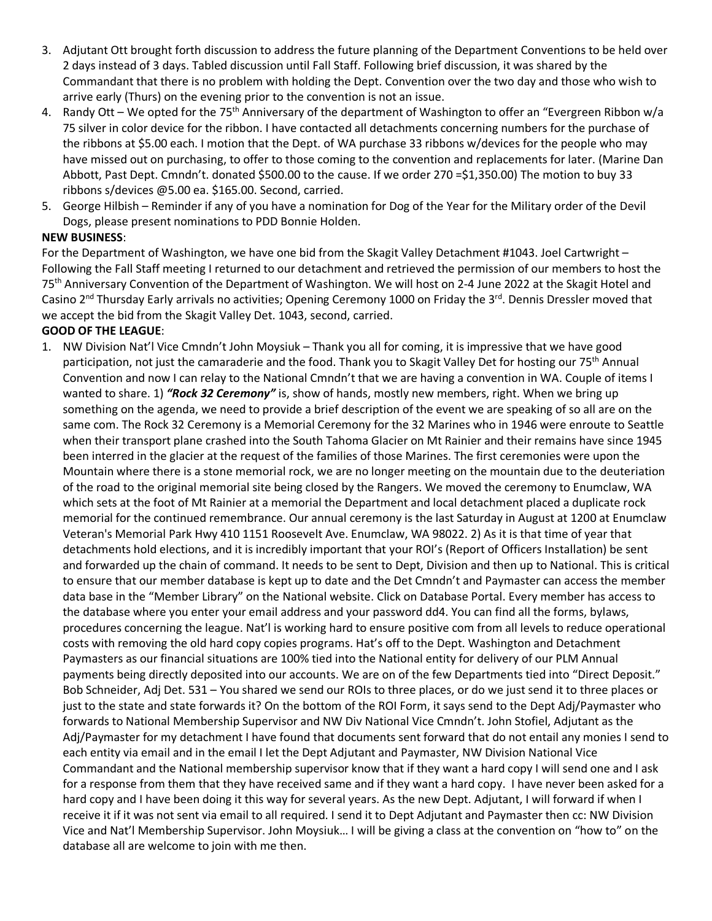- 3. Adjutant Ott brought forth discussion to address the future planning of the Department Conventions to be held over 2 days instead of 3 days. Tabled discussion until Fall Staff. Following brief discussion, it was shared by the Commandant that there is no problem with holding the Dept. Convention over the two day and those who wish to arrive early (Thurs) on the evening prior to the convention is not an issue.
- 4. Randy Ott We opted for the 75<sup>th</sup> Anniversary of the department of Washington to offer an "Evergreen Ribbon w/a 75 silver in color device for the ribbon. I have contacted all detachments concerning numbers for the purchase of the ribbons at \$5.00 each. I motion that the Dept. of WA purchase 33 ribbons w/devices for the people who may have missed out on purchasing, to offer to those coming to the convention and replacements for later. (Marine Dan Abbott, Past Dept. Cmndn't. donated \$500.00 to the cause. If we order 270 =\$1,350.00) The motion to buy 33 ribbons s/devices @5.00 ea. \$165.00. Second, carried.
- 5. George Hilbish Reminder if any of you have a nomination for Dog of the Year for the Military order of the Devil Dogs, please present nominations to PDD Bonnie Holden.

### **NEW BUSINESS**:

For the Department of Washington, we have one bid from the Skagit Valley Detachment #1043. Joel Cartwright – Following the Fall Staff meeting I returned to our detachment and retrieved the permission of our members to host the 75<sup>th</sup> Anniversary Convention of the Department of Washington. We will host on 2-4 June 2022 at the Skagit Hotel and Casino  $2^{nd}$  Thursday Early arrivals no activities; Opening Ceremony 1000 on Friday the  $3^{rd}$ . Dennis Dressler moved that we accept the bid from the Skagit Valley Det. 1043, second, carried.

## **GOOD OF THE LEAGUE**:

1. NW Division Nat'l Vice Cmndn't John Moysiuk – Thank you all for coming, it is impressive that we have good participation, not just the camaraderie and the food. Thank you to Skagit Valley Det for hosting our 75<sup>th</sup> Annual Convention and now I can relay to the National Cmndn't that we are having a convention in WA. Couple of items I wanted to share. 1) *"Rock 32 Ceremony"* is, show of hands, mostly new members, right. When we bring up something on the agenda, we need to provide a brief description of the event we are speaking of so all are on the same com. The Rock 32 Ceremony is a Memorial Ceremony for the 32 Marines who in 1946 were enroute to Seattle when their transport plane crashed into the South Tahoma Glacier on Mt Rainier and their remains have since 1945 been interred in the glacier at the request of the families of those Marines. The first ceremonies were upon the Mountain where there is a stone memorial rock, we are no longer meeting on the mountain due to the deuteriation of the road to the original memorial site being closed by the Rangers. We moved the ceremony to Enumclaw, WA which sets at the foot of Mt Rainier at a memorial the Department and local detachment placed a duplicate rock memorial for the continued remembrance. Our annual ceremony is the last Saturday in August at 1200 at Enumclaw Veteran's Memorial Park Hwy 410 1151 Roosevelt Ave. Enumclaw, WA 98022. 2) As it is that time of year that detachments hold elections, and it is incredibly important that your ROI's (Report of Officers Installation) be sent and forwarded up the chain of command. It needs to be sent to Dept, Division and then up to National. This is critical to ensure that our member database is kept up to date and the Det Cmndn't and Paymaster can access the member data base in the "Member Library" on the National website. Click on Database Portal. Every member has access to the database where you enter your email address and your password dd4. You can find all the forms, bylaws, procedures concerning the league. Nat'l is working hard to ensure positive com from all levels to reduce operational costs with removing the old hard copy copies programs. Hat's off to the Dept. Washington and Detachment Paymasters as our financial situations are 100% tied into the National entity for delivery of our PLM Annual payments being directly deposited into our accounts. We are on of the few Departments tied into "Direct Deposit." Bob Schneider, Adj Det. 531 – You shared we send our ROIs to three places, or do we just send it to three places or just to the state and state forwards it? On the bottom of the ROI Form, it says send to the Dept Adj/Paymaster who forwards to National Membership Supervisor and NW Div National Vice Cmndn't. John Stofiel, Adjutant as the Adj/Paymaster for my detachment I have found that documents sent forward that do not entail any monies I send to each entity via email and in the email I let the Dept Adjutant and Paymaster, NW Division National Vice Commandant and the National membership supervisor know that if they want a hard copy I will send one and I ask for a response from them that they have received same and if they want a hard copy. I have never been asked for a hard copy and I have been doing it this way for several years. As the new Dept. Adjutant, I will forward if when I receive it if it was not sent via email to all required. I send it to Dept Adjutant and Paymaster then cc: NW Division Vice and Nat'l Membership Supervisor. John Moysiuk… I will be giving a class at the convention on "how to" on the database all are welcome to join with me then.